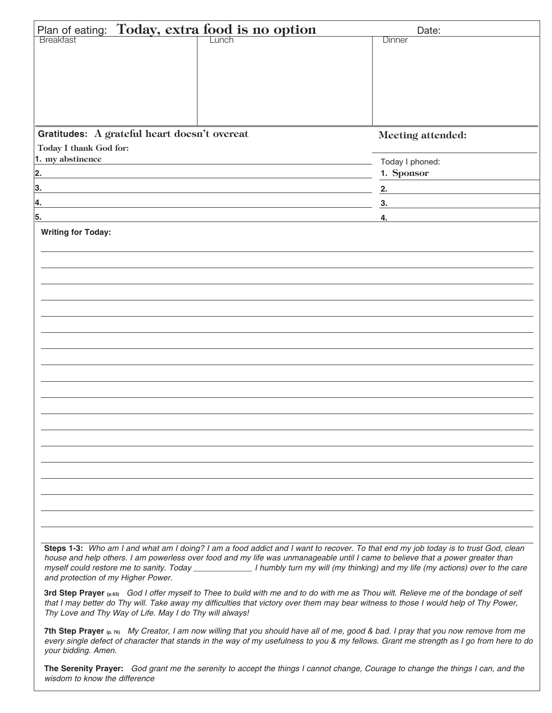| Plan of eating: Today, extra food is no option |                                                                                                                      | Date:                                                                            |
|------------------------------------------------|----------------------------------------------------------------------------------------------------------------------|----------------------------------------------------------------------------------|
|                                                |                                                                                                                      | Dinner                                                                           |
|                                                |                                                                                                                      |                                                                                  |
|                                                |                                                                                                                      |                                                                                  |
|                                                |                                                                                                                      |                                                                                  |
|                                                |                                                                                                                      |                                                                                  |
|                                                |                                                                                                                      |                                                                                  |
| Gratitudes: A grateful heart doesn't overeat   |                                                                                                                      | Meeting attended:                                                                |
| Today I thank God for:                         |                                                                                                                      |                                                                                  |
| 1. my abstinence                               | <u> 1989 - Johann Barbara, marka a shekara tsa 1989 - An tsa 1989 - An tsa 1989 - An tsa 1989 - An tsa 1989 - An</u> | Today I phoned:                                                                  |
| 2.                                             |                                                                                                                      | 1. Sponsor                                                                       |
| 3.                                             |                                                                                                                      | 2.<br>the control of the control of the control of the control of the control of |
| 4.                                             |                                                                                                                      | 3.                                                                               |
| 5.                                             |                                                                                                                      | 4.                                                                               |
| <b>Writing for Today:</b>                      |                                                                                                                      |                                                                                  |
|                                                |                                                                                                                      |                                                                                  |
|                                                |                                                                                                                      |                                                                                  |
|                                                |                                                                                                                      |                                                                                  |
|                                                |                                                                                                                      |                                                                                  |
|                                                |                                                                                                                      |                                                                                  |
|                                                |                                                                                                                      |                                                                                  |
|                                                |                                                                                                                      |                                                                                  |
|                                                |                                                                                                                      |                                                                                  |
|                                                |                                                                                                                      |                                                                                  |
|                                                |                                                                                                                      |                                                                                  |
|                                                |                                                                                                                      |                                                                                  |
|                                                |                                                                                                                      |                                                                                  |
|                                                |                                                                                                                      |                                                                                  |
|                                                |                                                                                                                      |                                                                                  |
|                                                |                                                                                                                      |                                                                                  |
|                                                |                                                                                                                      |                                                                                  |
|                                                |                                                                                                                      |                                                                                  |
|                                                |                                                                                                                      |                                                                                  |
|                                                |                                                                                                                      |                                                                                  |
|                                                |                                                                                                                      |                                                                                  |
|                                                |                                                                                                                      |                                                                                  |
|                                                |                                                                                                                      |                                                                                  |

**Steps 1-3:** *Who am I and what am I doing? I am a food addict and I want to recover. To that end my job today is to trust God, clean house and help others. I am powerless over food and my life was unmanageable until I came to believe that a power greater than myself could restore me to sanity. Today \_\_\_\_\_\_\_\_\_\_\_\_\_ I humbly turn my will (my thinking) and my life (my actions) over to the care and protection of my Higher Power.*

**3rd Step Prayer (p.63)** *God I offer myself to Thee to build with me and to do with me as Thou wilt. Relieve me of the bondage of self that I may better do Thy will. Take away my difficulties that victory over them may bear witness to those I would help of Thy Power, Thy Love and Thy Way of Life. May I do Thy will always!*

**7th Step Prayer (p. 76)** *My Creator, I am now willing that you should have all of me, good & bad. I pray that you now remove from me every single defect of character that stands in the way of my usefulness to you & my fellows. Grant me strength as I go from here to do your bidding. Amen.*

**The Serenity Prayer:** *God grant me the serenity to accept the things I cannot change, Courage to change the things I can, and the wisdom to know the difference*